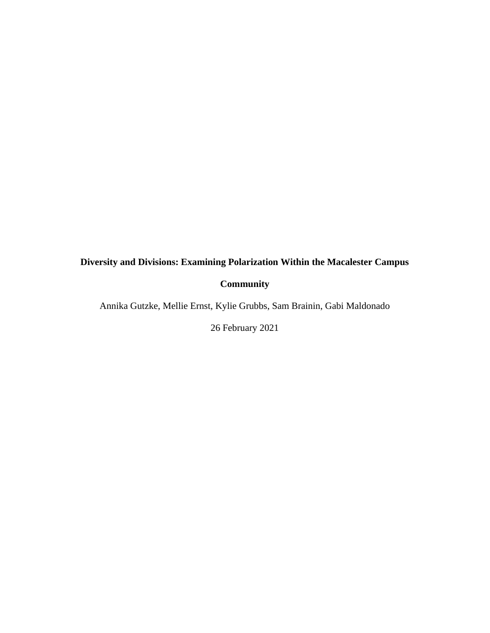# **Diversity and Divisions: Examining Polarization Within the Macalester Campus**

## **Community**

Annika Gutzke, Mellie Ernst, Kylie Grubbs, Sam Brainin, Gabi Maldonado

26 February 2021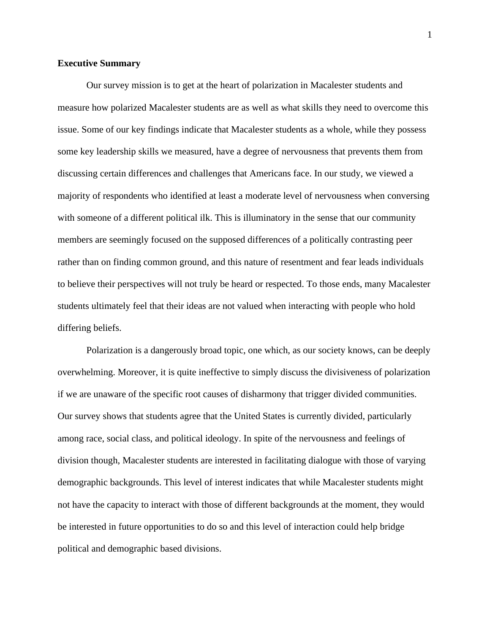#### **Executive Summary**

Our survey mission is to get at the heart of polarization in Macalester students and measure how polarized Macalester students are as well as what skills they need to overcome this issue. Some of our key findings indicate that Macalester students as a whole, while they possess some key leadership skills we measured, have a degree of nervousness that prevents them from discussing certain differences and challenges that Americans face. In our study, we viewed a majority of respondents who identified at least a moderate level of nervousness when conversing with someone of a different political ilk. This is illuminatory in the sense that our community members are seemingly focused on the supposed differences of a politically contrasting peer rather than on finding common ground, and this nature of resentment and fear leads individuals to believe their perspectives will not truly be heard or respected. To those ends, many Macalester students ultimately feel that their ideas are not valued when interacting with people who hold differing beliefs.

Polarization is a dangerously broad topic, one which, as our society knows, can be deeply overwhelming. Moreover, it is quite ineffective to simply discuss the divisiveness of polarization if we are unaware of the specific root causes of disharmony that trigger divided communities. Our survey shows that students agree that the United States is currently divided, particularly among race, social class, and political ideology. In spite of the nervousness and feelings of division though, Macalester students are interested in facilitating dialogue with those of varying demographic backgrounds. This level of interest indicates that while Macalester students might not have the capacity to interact with those of different backgrounds at the moment, they would be interested in future opportunities to do so and this level of interaction could help bridge political and demographic based divisions.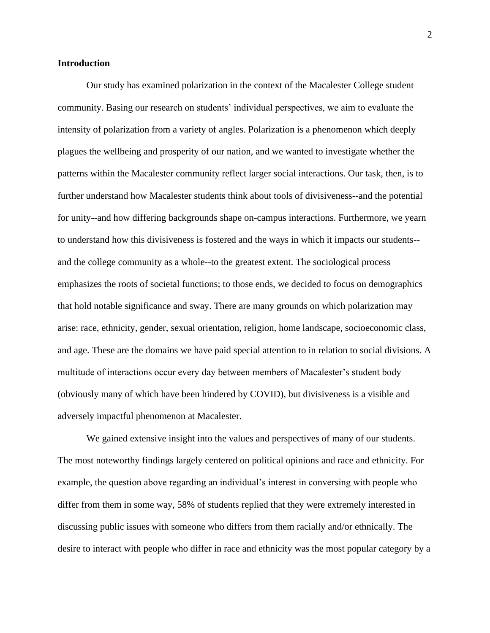#### **Introduction**

Our study has examined polarization in the context of the Macalester College student community. Basing our research on students' individual perspectives, we aim to evaluate the intensity of polarization from a variety of angles. Polarization is a phenomenon which deeply plagues the wellbeing and prosperity of our nation, and we wanted to investigate whether the patterns within the Macalester community reflect larger social interactions. Our task, then, is to further understand how Macalester students think about tools of divisiveness--and the potential for unity--and how differing backgrounds shape on-campus interactions. Furthermore, we yearn to understand how this divisiveness is fostered and the ways in which it impacts our students- and the college community as a whole--to the greatest extent. The sociological process emphasizes the roots of societal functions; to those ends, we decided to focus on demographics that hold notable significance and sway. There are many grounds on which polarization may arise: race, ethnicity, gender, sexual orientation, religion, home landscape, socioeconomic class, and age. These are the domains we have paid special attention to in relation to social divisions. A multitude of interactions occur every day between members of Macalester's student body (obviously many of which have been hindered by COVID), but divisiveness is a visible and adversely impactful phenomenon at Macalester.

We gained extensive insight into the values and perspectives of many of our students. The most noteworthy findings largely centered on political opinions and race and ethnicity. For example, the question above regarding an individual's interest in conversing with people who differ from them in some way, 58% of students replied that they were extremely interested in discussing public issues with someone who differs from them racially and/or ethnically. The desire to interact with people who differ in race and ethnicity was the most popular category by a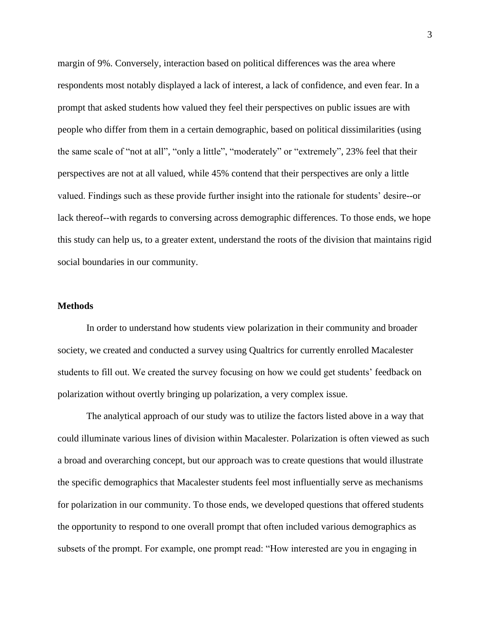margin of 9%. Conversely, interaction based on political differences was the area where respondents most notably displayed a lack of interest, a lack of confidence, and even fear. In a prompt that asked students how valued they feel their perspectives on public issues are with people who differ from them in a certain demographic, based on political dissimilarities (using the same scale of "not at all", "only a little", "moderately" or "extremely", 23% feel that their perspectives are not at all valued, while 45% contend that their perspectives are only a little valued. Findings such as these provide further insight into the rationale for students' desire--or lack thereof--with regards to conversing across demographic differences. To those ends, we hope this study can help us, to a greater extent, understand the roots of the division that maintains rigid social boundaries in our community.

#### **Methods**

In order to understand how students view polarization in their community and broader society, we created and conducted a survey using Qualtrics for currently enrolled Macalester students to fill out. We created the survey focusing on how we could get students' feedback on polarization without overtly bringing up polarization, a very complex issue.

The analytical approach of our study was to utilize the factors listed above in a way that could illuminate various lines of division within Macalester. Polarization is often viewed as such a broad and overarching concept, but our approach was to create questions that would illustrate the specific demographics that Macalester students feel most influentially serve as mechanisms for polarization in our community. To those ends, we developed questions that offered students the opportunity to respond to one overall prompt that often included various demographics as subsets of the prompt. For example, one prompt read: "How interested are you in engaging in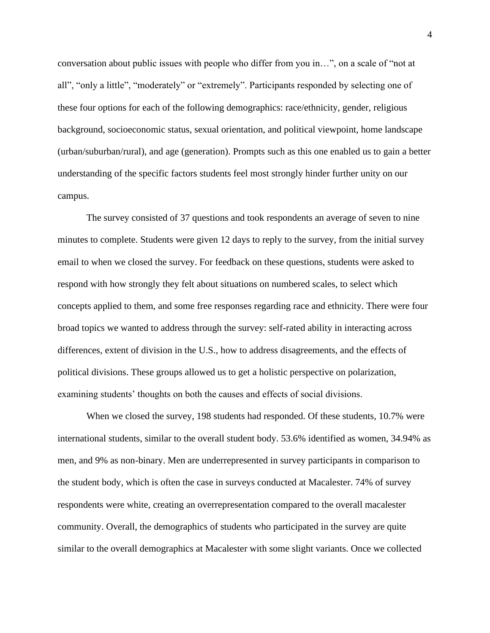conversation about public issues with people who differ from you in…", on a scale of "not at all", "only a little", "moderately" or "extremely". Participants responded by selecting one of these four options for each of the following demographics: race/ethnicity, gender, religious background, socioeconomic status, sexual orientation, and political viewpoint, home landscape (urban/suburban/rural), and age (generation). Prompts such as this one enabled us to gain a better understanding of the specific factors students feel most strongly hinder further unity on our campus.

The survey consisted of 37 questions and took respondents an average of seven to nine minutes to complete. Students were given 12 days to reply to the survey, from the initial survey email to when we closed the survey. For feedback on these questions, students were asked to respond with how strongly they felt about situations on numbered scales, to select which concepts applied to them, and some free responses regarding race and ethnicity. There were four broad topics we wanted to address through the survey: self-rated ability in interacting across differences, extent of division in the U.S., how to address disagreements, and the effects of political divisions. These groups allowed us to get a holistic perspective on polarization, examining students' thoughts on both the causes and effects of social divisions.

When we closed the survey, 198 students had responded. Of these students, 10.7% were international students, similar to the overall student body. 53.6% identified as women, 34.94% as men, and 9% as non-binary. Men are underrepresented in survey participants in comparison to the student body, which is often the case in surveys conducted at Macalester. 74% of survey respondents were white, creating an overrepresentation compared to the overall macalester community. Overall, the demographics of students who participated in the survey are quite similar to the overall demographics at Macalester with some slight variants. Once we collected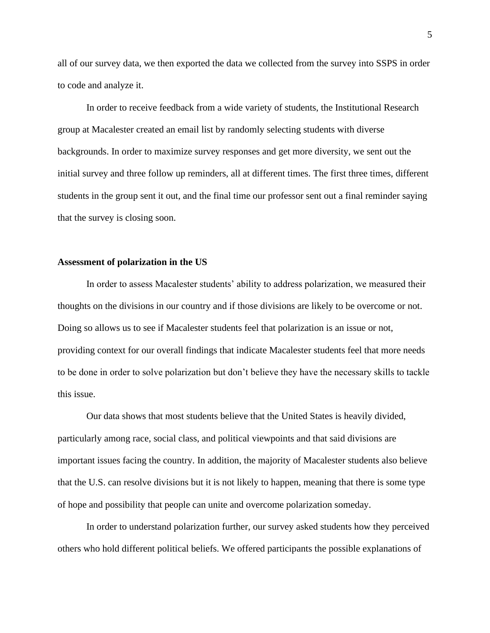all of our survey data, we then exported the data we collected from the survey into SSPS in order to code and analyze it.

In order to receive feedback from a wide variety of students, the Institutional Research group at Macalester created an email list by randomly selecting students with diverse backgrounds. In order to maximize survey responses and get more diversity, we sent out the initial survey and three follow up reminders, all at different times. The first three times, different students in the group sent it out, and the final time our professor sent out a final reminder saying that the survey is closing soon.

#### **Assessment of polarization in the US**

In order to assess Macalester students' ability to address polarization, we measured their thoughts on the divisions in our country and if those divisions are likely to be overcome or not. Doing so allows us to see if Macalester students feel that polarization is an issue or not, providing context for our overall findings that indicate Macalester students feel that more needs to be done in order to solve polarization but don't believe they have the necessary skills to tackle this issue.

Our data shows that most students believe that the United States is heavily divided, particularly among race, social class, and political viewpoints and that said divisions are important issues facing the country. In addition, the majority of Macalester students also believe that the U.S. can resolve divisions but it is not likely to happen, meaning that there is some type of hope and possibility that people can unite and overcome polarization someday.

In order to understand polarization further, our survey asked students how they perceived others who hold different political beliefs. We offered participants the possible explanations of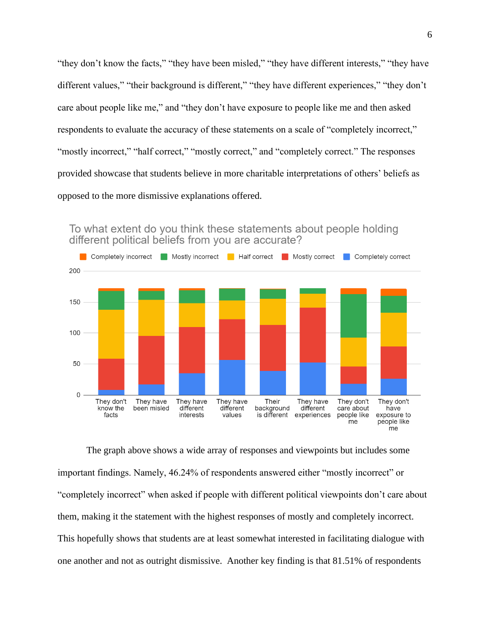"they don't know the facts," "they have been misled," "they have different interests," "they have different values," "their background is different," "they have different experiences," "they don't care about people like me," and "they don't have exposure to people like me and then asked respondents to evaluate the accuracy of these statements on a scale of "completely incorrect," "mostly incorrect," "half correct," "mostly correct," and "completely correct." The responses provided showcase that students believe in more charitable interpretations of others' beliefs as opposed to the more dismissive explanations offered.



To what extent do you think these statements about people holding different political beliefs from you are accurate?

The graph above shows a wide array of responses and viewpoints but includes some important findings. Namely, 46.24% of respondents answered either "mostly incorrect" or "completely incorrect" when asked if people with different political viewpoints don't care about them, making it the statement with the highest responses of mostly and completely incorrect. This hopefully shows that students are at least somewhat interested in facilitating dialogue with one another and not as outright dismissive. Another key finding is that 81.51% of respondents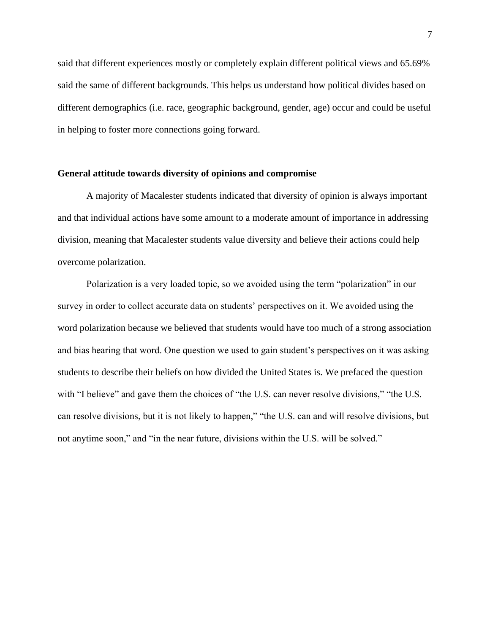said that different experiences mostly or completely explain different political views and 65.69% said the same of different backgrounds. This helps us understand how political divides based on different demographics (i.e. race, geographic background, gender, age) occur and could be useful in helping to foster more connections going forward.

#### **General attitude towards diversity of opinions and compromise**

A majority of Macalester students indicated that diversity of opinion is always important and that individual actions have some amount to a moderate amount of importance in addressing division, meaning that Macalester students value diversity and believe their actions could help overcome polarization.

Polarization is a very loaded topic, so we avoided using the term "polarization" in our survey in order to collect accurate data on students' perspectives on it. We avoided using the word polarization because we believed that students would have too much of a strong association and bias hearing that word. One question we used to gain student's perspectives on it was asking students to describe their beliefs on how divided the United States is. We prefaced the question with "I believe" and gave them the choices of "the U.S. can never resolve divisions," "the U.S. can resolve divisions, but it is not likely to happen," "the U.S. can and will resolve divisions, but not anytime soon," and "in the near future, divisions within the U.S. will be solved."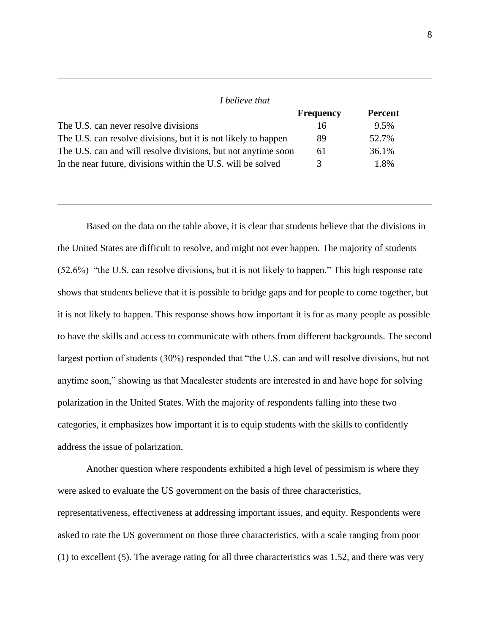| <i>I</i> believe that                                          |                  |                |
|----------------------------------------------------------------|------------------|----------------|
|                                                                | <b>Frequency</b> | <b>Percent</b> |
| The U.S. can never resolve divisions                           | 16               | 9.5%           |
| The U.S. can resolve divisions, but it is not likely to happen | 89               | 52.7%          |
| The U.S. can and will resolve divisions, but not anytime soon  | 61               | 36.1%          |
| In the near future, divisions within the U.S. will be solved   | $\mathcal{R}$    | 1.8%           |

Based on the data on the table above, it is clear that students believe that the divisions in the United States are difficult to resolve, and might not ever happen. The majority of students (52.6%) "the U.S. can resolve divisions, but it is not likely to happen." This high response rate shows that students believe that it is possible to bridge gaps and for people to come together, but it is not likely to happen. This response shows how important it is for as many people as possible to have the skills and access to communicate with others from different backgrounds. The second largest portion of students (30%) responded that "the U.S. can and will resolve divisions, but not anytime soon," showing us that Macalester students are interested in and have hope for solving polarization in the United States. With the majority of respondents falling into these two categories, it emphasizes how important it is to equip students with the skills to confidently address the issue of polarization.

Another question where respondents exhibited a high level of pessimism is where they were asked to evaluate the US government on the basis of three characteristics, representativeness, effectiveness at addressing important issues, and equity. Respondents were asked to rate the US government on those three characteristics, with a scale ranging from poor (1) to excellent (5). The average rating for all three characteristics was 1.52, and there was very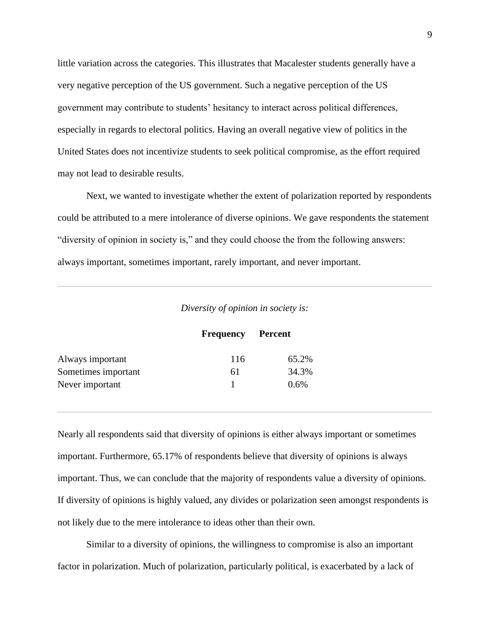little variation across the categories. This illustrates that Macalester students generally have a very negative perception of the US government. Such a negative perception of the US government may contribute to students' hesitancy to interact across political differences, especially in regards to electoral politics. Having an overall negative view of politics in the United States does not incentivize students to seek political compromise, as the effort required may not lead to desirable results.

Next, we wanted to investigate whether the extent of polarization reported by respondents could be attributed to a mere intolerance of diverse opinions. We gave respondents the statement "diversity of opinion in society is," and they could choose the from the following answers: always important, sometimes important, rarely important, and never important.

|  |  | Diversity of opinion in society is: |  |
|--|--|-------------------------------------|--|
|  |  |                                     |  |

|                     | <b>Frequency</b> Percent |         |
|---------------------|--------------------------|---------|
| Always important    | 116                      | 65.2%   |
| Sometimes important | 6 I                      | 34.3%   |
| Never important     |                          | $0.6\%$ |

Nearly all respondents said that diversity of opinions is either always important or sometimes important. Furthermore, 65.17% of respondents believe that diversity of opinions is always important. Thus, we can conclude that the majority of respondents value a diversity of opinions. If diversity of opinions is highly valued, any divides or polarization seen amongst respondents is not likely due to the mere intolerance to ideas other than their own.

Similar to a diversity of opinions, the willingness to compromise is also an important factor in polarization. Much of polarization, particularly political, is exacerbated by a lack of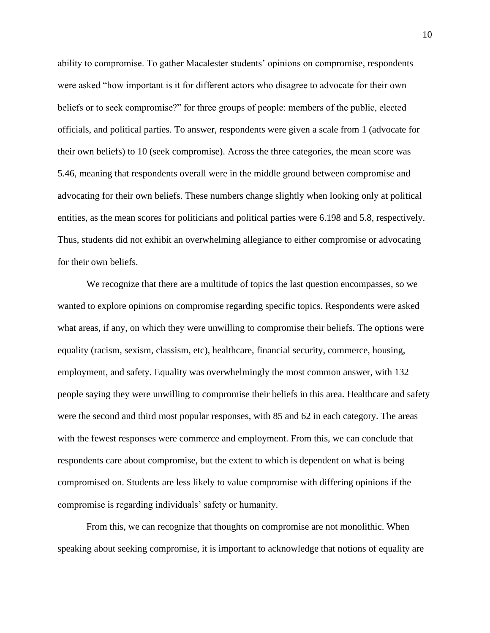ability to compromise. To gather Macalester students' opinions on compromise, respondents were asked "how important is it for different actors who disagree to advocate for their own beliefs or to seek compromise?" for three groups of people: members of the public, elected officials, and political parties. To answer, respondents were given a scale from 1 (advocate for their own beliefs) to 10 (seek compromise). Across the three categories, the mean score was 5.46, meaning that respondents overall were in the middle ground between compromise and advocating for their own beliefs. These numbers change slightly when looking only at political entities, as the mean scores for politicians and political parties were 6.198 and 5.8, respectively. Thus, students did not exhibit an overwhelming allegiance to either compromise or advocating for their own beliefs.

We recognize that there are a multitude of topics the last question encompasses, so we wanted to explore opinions on compromise regarding specific topics. Respondents were asked what areas, if any, on which they were unwilling to compromise their beliefs. The options were equality (racism, sexism, classism, etc), healthcare, financial security, commerce, housing, employment, and safety. Equality was overwhelmingly the most common answer, with 132 people saying they were unwilling to compromise their beliefs in this area. Healthcare and safety were the second and third most popular responses, with 85 and 62 in each category. The areas with the fewest responses were commerce and employment. From this, we can conclude that respondents care about compromise, but the extent to which is dependent on what is being compromised on. Students are less likely to value compromise with differing opinions if the compromise is regarding individuals' safety or humanity.

From this, we can recognize that thoughts on compromise are not monolithic. When speaking about seeking compromise, it is important to acknowledge that notions of equality are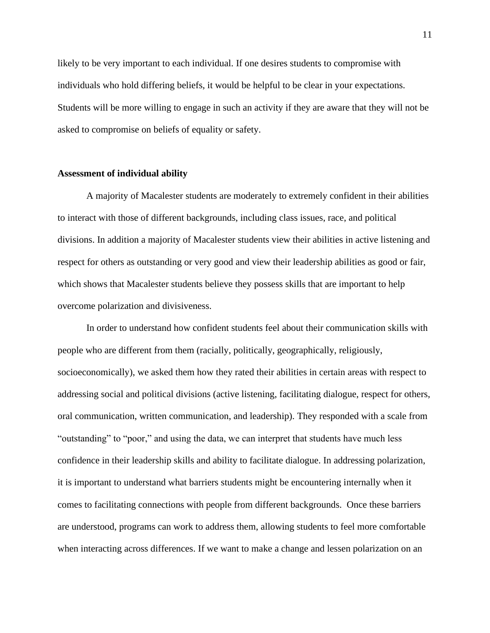likely to be very important to each individual. If one desires students to compromise with individuals who hold differing beliefs, it would be helpful to be clear in your expectations. Students will be more willing to engage in such an activity if they are aware that they will not be asked to compromise on beliefs of equality or safety.

#### **Assessment of individual ability**

A majority of Macalester students are moderately to extremely confident in their abilities to interact with those of different backgrounds, including class issues, race, and political divisions. In addition a majority of Macalester students view their abilities in active listening and respect for others as outstanding or very good and view their leadership abilities as good or fair, which shows that Macalester students believe they possess skills that are important to help overcome polarization and divisiveness.

In order to understand how confident students feel about their communication skills with people who are different from them (racially, politically, geographically, religiously, socioeconomically), we asked them how they rated their abilities in certain areas with respect to addressing social and political divisions (active listening, facilitating dialogue, respect for others, oral communication, written communication, and leadership). They responded with a scale from "outstanding" to "poor," and using the data, we can interpret that students have much less confidence in their leadership skills and ability to facilitate dialogue. In addressing polarization, it is important to understand what barriers students might be encountering internally when it comes to facilitating connections with people from different backgrounds. Once these barriers are understood, programs can work to address them, allowing students to feel more comfortable when interacting across differences. If we want to make a change and lessen polarization on an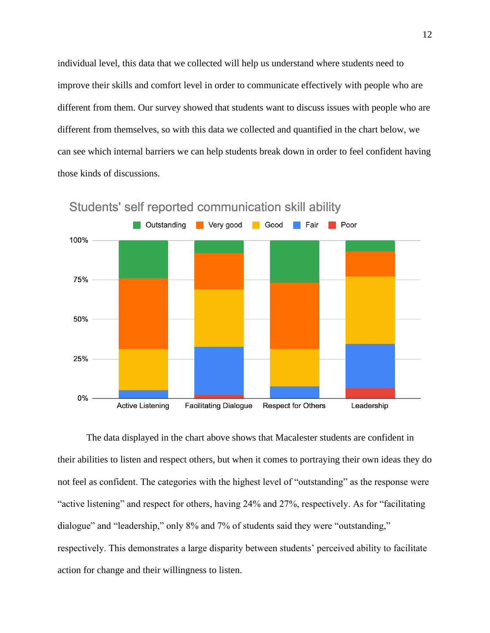individual level, this data that we collected will help us understand where students need to improve their skills and comfort level in order to communicate effectively with people who are different from them. Our survey showed that students want to discuss issues with people who are different from themselves, so with this data we collected and quantified in the chart below, we can see which internal barriers we can help students break down in order to feel confident having those kinds of discussions.



Students' self reported communication skill ability

The data displayed in the chart above shows that Macalester students are confident in their abilities to listen and respect others, but when it comes to portraying their own ideas they do not feel as confident. The categories with the highest level of "outstanding" as the response were "active listening" and respect for others, having 24% and 27%, respectively. As for "facilitating dialogue" and "leadership," only 8% and 7% of students said they were "outstanding," respectively. This demonstrates a large disparity between students' perceived ability to facilitate action for change and their willingness to listen.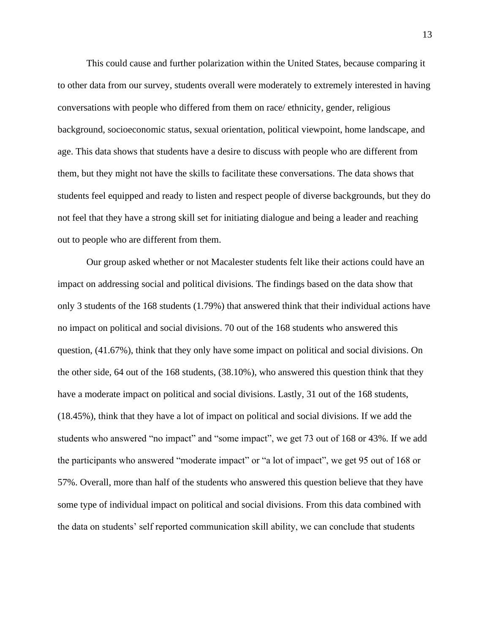This could cause and further polarization within the United States, because comparing it to other data from our survey, students overall were moderately to extremely interested in having conversations with people who differed from them on race/ ethnicity, gender, religious background, socioeconomic status, sexual orientation, political viewpoint, home landscape, and age. This data shows that students have a desire to discuss with people who are different from them, but they might not have the skills to facilitate these conversations. The data shows that students feel equipped and ready to listen and respect people of diverse backgrounds, but they do not feel that they have a strong skill set for initiating dialogue and being a leader and reaching out to people who are different from them.

Our group asked whether or not Macalester students felt like their actions could have an impact on addressing social and political divisions. The findings based on the data show that only 3 students of the 168 students (1.79%) that answered think that their individual actions have no impact on political and social divisions. 70 out of the 168 students who answered this question, (41.67%), think that they only have some impact on political and social divisions. On the other side, 64 out of the 168 students, (38.10%), who answered this question think that they have a moderate impact on political and social divisions. Lastly, 31 out of the 168 students, (18.45%), think that they have a lot of impact on political and social divisions. If we add the students who answered "no impact" and "some impact", we get 73 out of 168 or 43%. If we add the participants who answered "moderate impact" or "a lot of impact", we get 95 out of 168 or 57%. Overall, more than half of the students who answered this question believe that they have some type of individual impact on political and social divisions. From this data combined with the data on students' self reported communication skill ability, we can conclude that students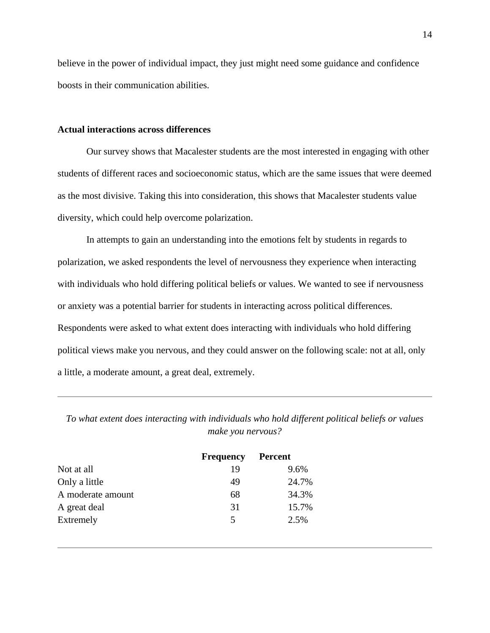believe in the power of individual impact, they just might need some guidance and confidence boosts in their communication abilities.

#### **Actual interactions across differences**

Our survey shows that Macalester students are the most interested in engaging with other students of different races and socioeconomic status, which are the same issues that were deemed as the most divisive. Taking this into consideration, this shows that Macalester students value diversity, which could help overcome polarization.

In attempts to gain an understanding into the emotions felt by students in regards to polarization, we asked respondents the level of nervousness they experience when interacting with individuals who hold differing political beliefs or values. We wanted to see if nervousness or anxiety was a potential barrier for students in interacting across political differences. Respondents were asked to what extent does interacting with individuals who hold differing political views make you nervous, and they could answer on the following scale: not at all, only a little, a moderate amount, a great deal, extremely.

*To what extent does interacting with individuals who hold different political beliefs or values make you nervous?*

|                   | <b>Frequency</b> | <b>Percent</b> |
|-------------------|------------------|----------------|
| Not at all        | 19               | 9.6%           |
| Only a little     | 49               | 24.7%          |
| A moderate amount | 68               | 34.3%          |
| A great deal      | 31               | 15.7%          |
| Extremely         | 5                | 2.5%           |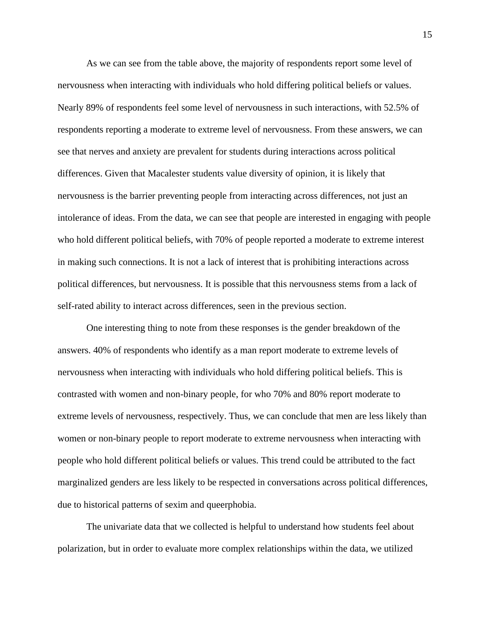As we can see from the table above, the majority of respondents report some level of nervousness when interacting with individuals who hold differing political beliefs or values. Nearly 89% of respondents feel some level of nervousness in such interactions, with 52.5% of respondents reporting a moderate to extreme level of nervousness. From these answers, we can see that nerves and anxiety are prevalent for students during interactions across political differences. Given that Macalester students value diversity of opinion, it is likely that nervousness is the barrier preventing people from interacting across differences, not just an intolerance of ideas. From the data, we can see that people are interested in engaging with people who hold different political beliefs, with 70% of people reported a moderate to extreme interest in making such connections. It is not a lack of interest that is prohibiting interactions across political differences, but nervousness. It is possible that this nervousness stems from a lack of self-rated ability to interact across differences, seen in the previous section.

One interesting thing to note from these responses is the gender breakdown of the answers. 40% of respondents who identify as a man report moderate to extreme levels of nervousness when interacting with individuals who hold differing political beliefs. This is contrasted with women and non-binary people, for who 70% and 80% report moderate to extreme levels of nervousness, respectively. Thus, we can conclude that men are less likely than women or non-binary people to report moderate to extreme nervousness when interacting with people who hold different political beliefs or values. This trend could be attributed to the fact marginalized genders are less likely to be respected in conversations across political differences, due to historical patterns of sexim and queerphobia.

The univariate data that we collected is helpful to understand how students feel about polarization, but in order to evaluate more complex relationships within the data, we utilized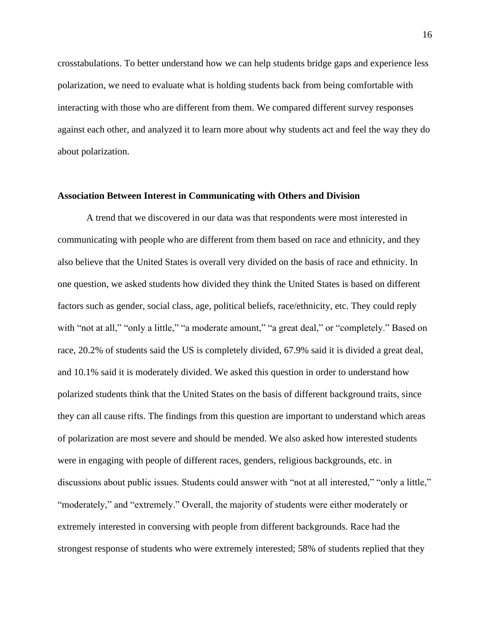crosstabulations. To better understand how we can help students bridge gaps and experience less polarization, we need to evaluate what is holding students back from being comfortable with interacting with those who are different from them. We compared different survey responses against each other, and analyzed it to learn more about why students act and feel the way they do about polarization.

#### **Association Between Interest in Communicating with Others and Division**

A trend that we discovered in our data was that respondents were most interested in communicating with people who are different from them based on race and ethnicity, and they also believe that the United States is overall very divided on the basis of race and ethnicity. In one question, we asked students how divided they think the United States is based on different factors such as gender, social class, age, political beliefs, race/ethnicity, etc. They could reply with "not at all," "only a little," "a moderate amount," "a great deal," or "completely." Based on race, 20.2% of students said the US is completely divided, 67.9% said it is divided a great deal, and 10.1% said it is moderately divided. We asked this question in order to understand how polarized students think that the United States on the basis of different background traits, since they can all cause rifts. The findings from this question are important to understand which areas of polarization are most severe and should be mended. We also asked how interested students were in engaging with people of different races, genders, religious backgrounds, etc. in discussions about public issues. Students could answer with "not at all interested," "only a little," "moderately," and "extremely." Overall, the majority of students were either moderately or extremely interested in conversing with people from different backgrounds. Race had the strongest response of students who were extremely interested; 58% of students replied that they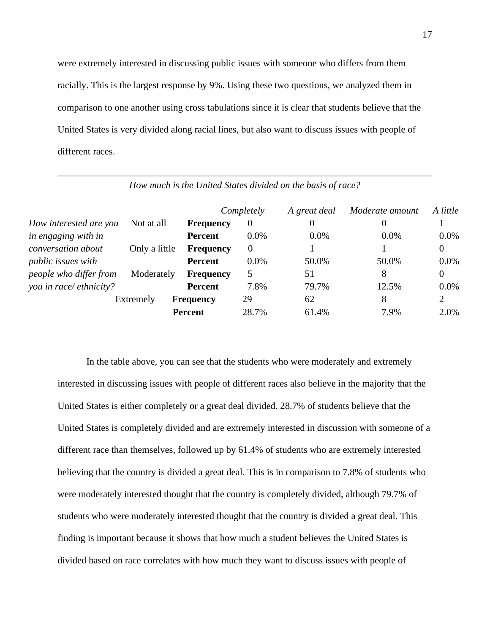were extremely interested in discussing public issues with someone who differs from them racially. This is the largest response by 9%. Using these two questions, we analyzed them in comparison to one another using cross tabulations since it is clear that students believe that the United States is very divided along racial lines, but also want to discuss issues with people of different races.

|                           |               |                  | Completely     | A great deal | Moderate amount | A little       |
|---------------------------|---------------|------------------|----------------|--------------|-----------------|----------------|
| How interested are you    | Not at all    | <b>Frequency</b> | $\overline{0}$ | 0            | $\theta$        |                |
| in engaging with in       |               | <b>Percent</b>   | $0.0\%$        | $0.0\%$      | $0.0\%$         | 0.0%           |
| conversation about        | Only a little | <b>Frequency</b> | $\theta$       |              |                 | $\overline{0}$ |
| <i>public issues with</i> |               | <b>Percent</b>   | $0.0\%$        | 50.0%        | 50.0%           | 0.0%           |
| people who differ from    | Moderately    | <b>Frequency</b> | 5              | 51           | 8               | $\overline{0}$ |
| you in race/ethnicity?    |               | <b>Percent</b>   | 7.8%           | 79.7%        | 12.5%           | 0.0%           |
|                           | Extremely     | <b>Frequency</b> | 29             | 62           | 8               | $\overline{2}$ |
|                           |               | <b>Percent</b>   | 28.7%          | 61.4%        | 7.9%            | 2.0%           |

*How much is the United States divided on the basis of race?*

In the table above, you can see that the students who were moderately and extremely interested in discussing issues with people of different races also believe in the majority that the United States is either completely or a great deal divided. 28.7% of students believe that the United States is completely divided and are extremely interested in discussion with someone of a different race than themselves, followed up by 61.4% of students who are extremely interested believing that the country is divided a great deal. This is in comparison to 7.8% of students who were moderately interested thought that the country is completely divided, although 79.7% of students who were moderately interested thought that the country is divided a great deal. This finding is important because it shows that how much a student believes the United States is divided based on race correlates with how much they want to discuss issues with people of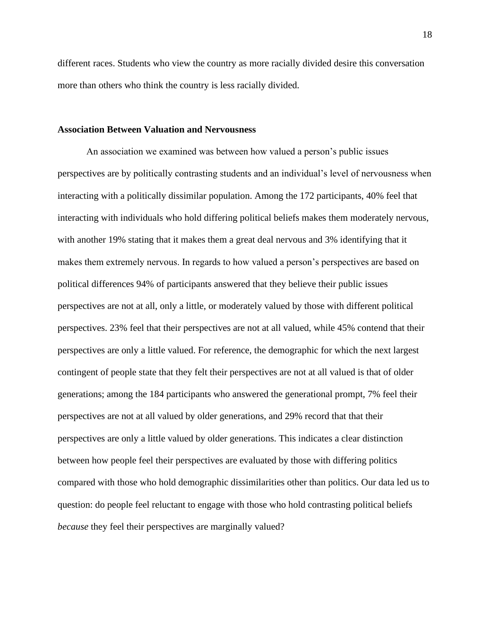different races. Students who view the country as more racially divided desire this conversation more than others who think the country is less racially divided.

#### **Association Between Valuation and Nervousness**

An association we examined was between how valued a person's public issues perspectives are by politically contrasting students and an individual's level of nervousness when interacting with a politically dissimilar population. Among the 172 participants, 40% feel that interacting with individuals who hold differing political beliefs makes them moderately nervous, with another 19% stating that it makes them a great deal nervous and 3% identifying that it makes them extremely nervous. In regards to how valued a person's perspectives are based on political differences 94% of participants answered that they believe their public issues perspectives are not at all, only a little, or moderately valued by those with different political perspectives. 23% feel that their perspectives are not at all valued, while 45% contend that their perspectives are only a little valued. For reference, the demographic for which the next largest contingent of people state that they felt their perspectives are not at all valued is that of older generations; among the 184 participants who answered the generational prompt, 7% feel their perspectives are not at all valued by older generations, and 29% record that that their perspectives are only a little valued by older generations. This indicates a clear distinction between how people feel their perspectives are evaluated by those with differing politics compared with those who hold demographic dissimilarities other than politics. Our data led us to question: do people feel reluctant to engage with those who hold contrasting political beliefs *because* they feel their perspectives are marginally valued?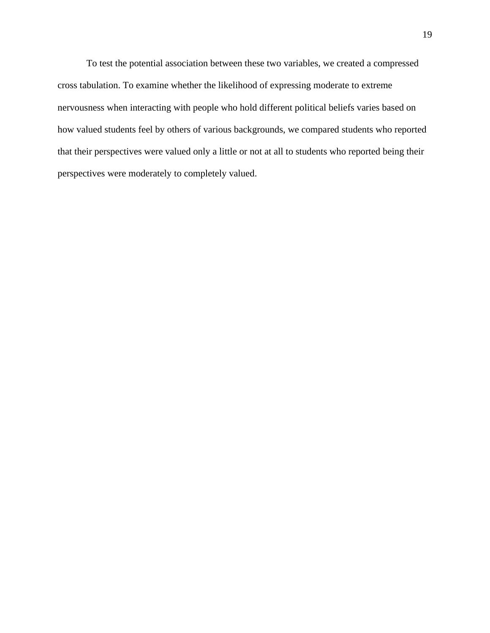To test the potential association between these two variables, we created a compressed cross tabulation. To examine whether the likelihood of expressing moderate to extreme nervousness when interacting with people who hold different political beliefs varies based on how valued students feel by others of various backgrounds, we compared students who reported that their perspectives were valued only a little or not at all to students who reported being their perspectives were moderately to completely valued.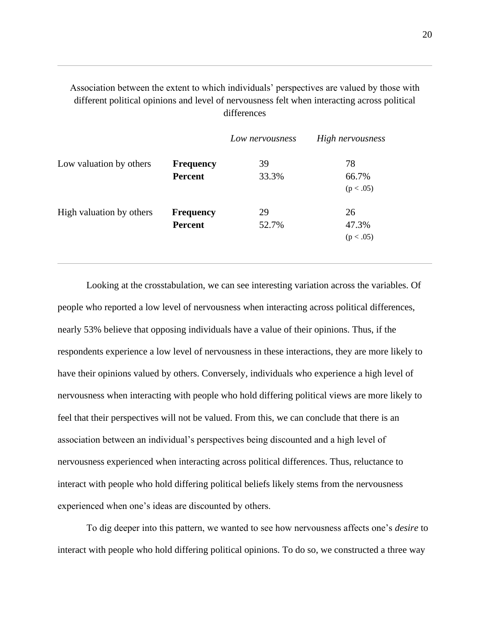Association between the extent to which individuals' perspectives are valued by those with different political opinions and level of nervousness felt when interacting across political differences

|                          |                  | Low nervousness | High nervousness   |
|--------------------------|------------------|-----------------|--------------------|
| Low valuation by others  | <b>Frequency</b> | 39              | 78                 |
|                          | <b>Percent</b>   | 33.3%           | 66.7%<br>(p < .05) |
|                          |                  |                 |                    |
| High valuation by others | <b>Frequency</b> | 29              | 26                 |
|                          | <b>Percent</b>   | 52.7%           | 47.3%              |
|                          |                  |                 | (p < .05)          |

Looking at the crosstabulation, we can see interesting variation across the variables. Of people who reported a low level of nervousness when interacting across political differences, nearly 53% believe that opposing individuals have a value of their opinions. Thus, if the respondents experience a low level of nervousness in these interactions, they are more likely to have their opinions valued by others. Conversely, individuals who experience a high level of nervousness when interacting with people who hold differing political views are more likely to feel that their perspectives will not be valued. From this, we can conclude that there is an association between an individual's perspectives being discounted and a high level of nervousness experienced when interacting across political differences. Thus, reluctance to interact with people who hold differing political beliefs likely stems from the nervousness experienced when one's ideas are discounted by others.

To dig deeper into this pattern, we wanted to see how nervousness affects one's *desire* to interact with people who hold differing political opinions. To do so, we constructed a three way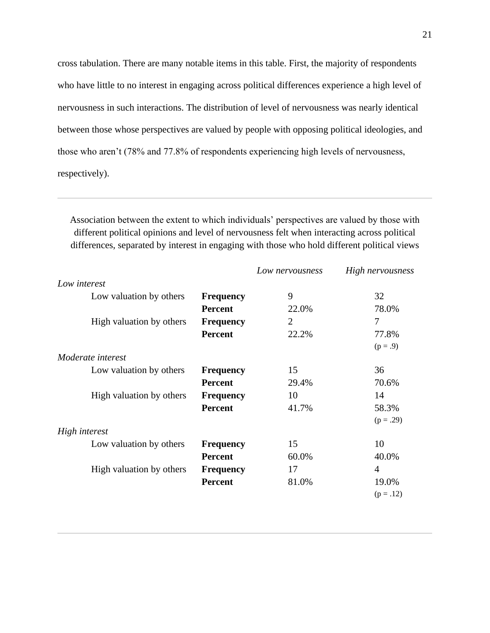cross tabulation. There are many notable items in this table. First, the majority of respondents who have little to no interest in engaging across political differences experience a high level of nervousness in such interactions. The distribution of level of nervousness was nearly identical between those whose perspectives are valued by people with opposing political ideologies, and those who aren't (78% and 77.8% of respondents experiencing high levels of nervousness, respectively).

Association between the extent to which individuals' perspectives are valued by those with different political opinions and level of nervousness felt when interacting across political differences, separated by interest in engaging with those who hold different political views

|                          |                  | Low nervousness | High nervousness |
|--------------------------|------------------|-----------------|------------------|
| Low interest             |                  |                 |                  |
| Low valuation by others  | <b>Frequency</b> | 9               | 32               |
|                          | <b>Percent</b>   | 22.0%           | 78.0%            |
| High valuation by others | <b>Frequency</b> | 2               | 7                |
|                          | <b>Percent</b>   | 22.2%           | 77.8%            |
|                          |                  |                 | $(p = .9)$       |
| <i>Moderate interest</i> |                  |                 |                  |
| Low valuation by others  | <b>Frequency</b> | 15              | 36               |
|                          | <b>Percent</b>   | 29.4%           | 70.6%            |
| High valuation by others | <b>Frequency</b> | 10              | 14               |
|                          | <b>Percent</b>   | 41.7%           | 58.3%            |
|                          |                  |                 | $(p=.29)$        |
| High interest            |                  |                 |                  |
| Low valuation by others  | <b>Frequency</b> | 15              | 10               |
|                          | <b>Percent</b>   | 60.0%           | 40.0%            |
| High valuation by others | <b>Frequency</b> | 17              | $\overline{4}$   |
|                          | <b>Percent</b>   | 81.0%           | 19.0%            |
|                          |                  |                 | $(p=.12)$        |
|                          |                  |                 |                  |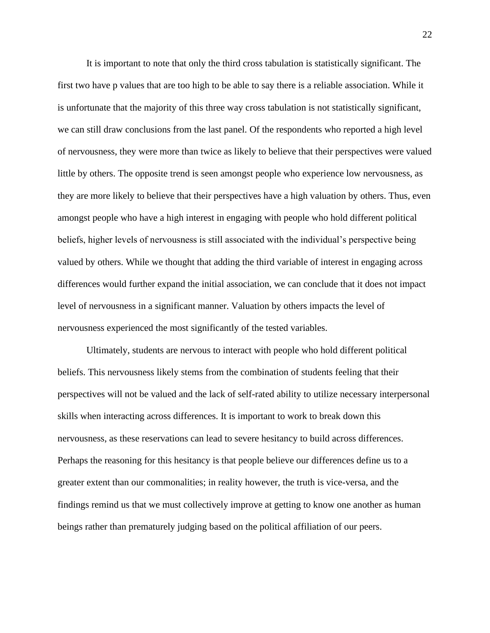It is important to note that only the third cross tabulation is statistically significant. The first two have p values that are too high to be able to say there is a reliable association. While it is unfortunate that the majority of this three way cross tabulation is not statistically significant, we can still draw conclusions from the last panel. Of the respondents who reported a high level of nervousness, they were more than twice as likely to believe that their perspectives were valued little by others. The opposite trend is seen amongst people who experience low nervousness, as they are more likely to believe that their perspectives have a high valuation by others. Thus, even amongst people who have a high interest in engaging with people who hold different political beliefs, higher levels of nervousness is still associated with the individual's perspective being valued by others. While we thought that adding the third variable of interest in engaging across differences would further expand the initial association, we can conclude that it does not impact level of nervousness in a significant manner. Valuation by others impacts the level of nervousness experienced the most significantly of the tested variables.

Ultimately, students are nervous to interact with people who hold different political beliefs. This nervousness likely stems from the combination of students feeling that their perspectives will not be valued and the lack of self-rated ability to utilize necessary interpersonal skills when interacting across differences. It is important to work to break down this nervousness, as these reservations can lead to severe hesitancy to build across differences. Perhaps the reasoning for this hesitancy is that people believe our differences define us to a greater extent than our commonalities; in reality however, the truth is vice-versa, and the findings remind us that we must collectively improve at getting to know one another as human beings rather than prematurely judging based on the political affiliation of our peers.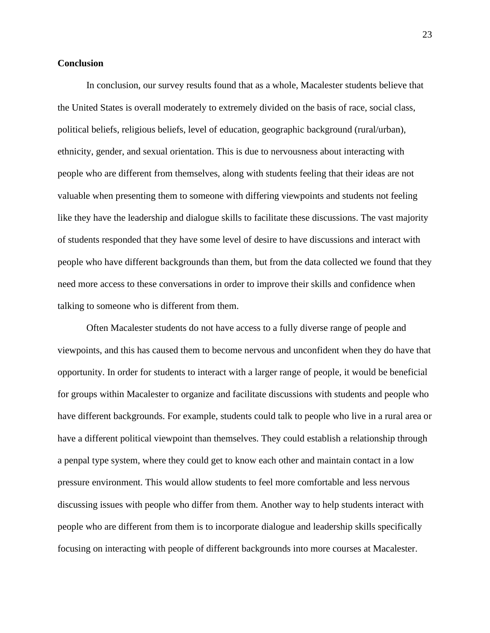#### **Conclusion**

In conclusion, our survey results found that as a whole, Macalester students believe that the United States is overall moderately to extremely divided on the basis of race, social class, political beliefs, religious beliefs, level of education, geographic background (rural/urban), ethnicity, gender, and sexual orientation. This is due to nervousness about interacting with people who are different from themselves, along with students feeling that their ideas are not valuable when presenting them to someone with differing viewpoints and students not feeling like they have the leadership and dialogue skills to facilitate these discussions. The vast majority of students responded that they have some level of desire to have discussions and interact with people who have different backgrounds than them, but from the data collected we found that they need more access to these conversations in order to improve their skills and confidence when talking to someone who is different from them.

Often Macalester students do not have access to a fully diverse range of people and viewpoints, and this has caused them to become nervous and unconfident when they do have that opportunity. In order for students to interact with a larger range of people, it would be beneficial for groups within Macalester to organize and facilitate discussions with students and people who have different backgrounds. For example, students could talk to people who live in a rural area or have a different political viewpoint than themselves. They could establish a relationship through a penpal type system, where they could get to know each other and maintain contact in a low pressure environment. This would allow students to feel more comfortable and less nervous discussing issues with people who differ from them. Another way to help students interact with people who are different from them is to incorporate dialogue and leadership skills specifically focusing on interacting with people of different backgrounds into more courses at Macalester.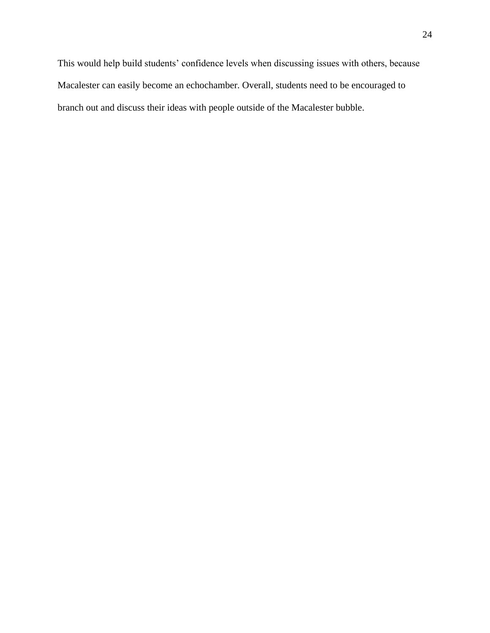This would help build students' confidence levels when discussing issues with others, because Macalester can easily become an echochamber. Overall, students need to be encouraged to branch out and discuss their ideas with people outside of the Macalester bubble.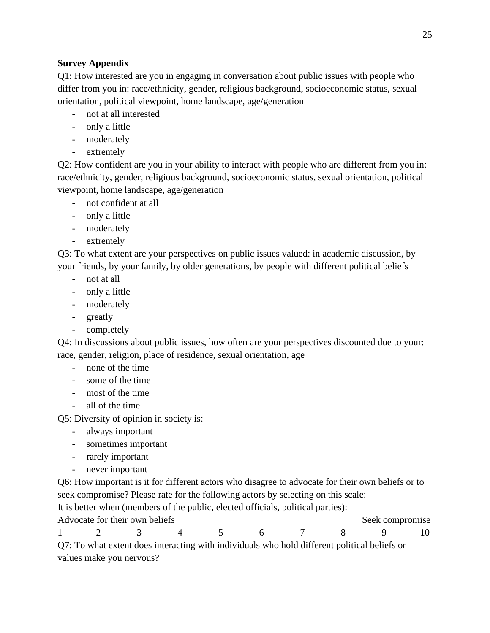### **Survey Appendix**

Q1: How interested are you in engaging in conversation about public issues with people who differ from you in: race/ethnicity, gender, religious background, socioeconomic status, sexual orientation, political viewpoint, home landscape, age/generation

- not at all interested
- only a little
- moderately
- extremely

Q2: How confident are you in your ability to interact with people who are different from you in: race/ethnicity, gender, religious background, socioeconomic status, sexual orientation, political viewpoint, home landscape, age/generation

- not confident at all
- only a little
- moderately
- extremely

Q3: To what extent are your perspectives on public issues valued: in academic discussion, by your friends, by your family, by older generations, by people with different political beliefs

- not at all
- only a little
- moderately
- greatly
- completely

Q4: In discussions about public issues, how often are your perspectives discounted due to your: race, gender, religion, place of residence, sexual orientation, age

- none of the time
- some of the time
- most of the time
- all of the time

Q5: Diversity of opinion in society is:

- always important
- sometimes important
- rarely important
- never important

Q6: How important is it for different actors who disagree to advocate for their own beliefs or to seek compromise? Please rate for the following actors by selecting on this scale:

It is better when (members of the public, elected officials, political parties):

Advocate for their own beliefs Seek compromise 1 2 3 4 5 6 7 8 9 10

Q7: To what extent does interacting with individuals who hold different political beliefs or values make you nervous?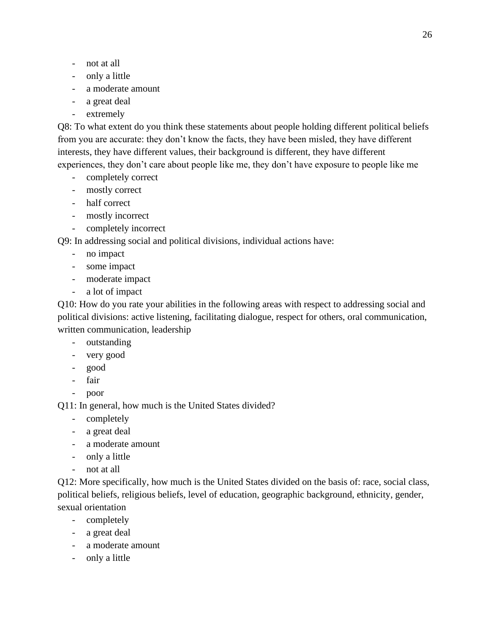- not at all
- only a little
- a moderate amount
- a great deal
- extremely

Q8: To what extent do you think these statements about people holding different political beliefs from you are accurate: they don't know the facts, they have been misled, they have different interests, they have different values, their background is different, they have different experiences, they don't care about people like me, they don't have exposure to people like me

- completely correct
- mostly correct
- half correct
- mostly incorrect
- completely incorrect

Q9: In addressing social and political divisions, individual actions have:

- no impact
- some impact
- moderate impact
- a lot of impact

Q10: How do you rate your abilities in the following areas with respect to addressing social and political divisions: active listening, facilitating dialogue, respect for others, oral communication, written communication, leadership

- outstanding
- very good
- good
- fair
- poor

Q11: In general, how much is the United States divided?

- completely
- a great deal
- a moderate amount
- only a little
- not at all

Q12: More specifically, how much is the United States divided on the basis of: race, social class, political beliefs, religious beliefs, level of education, geographic background, ethnicity, gender, sexual orientation

- completely
- a great deal
- a moderate amount
- only a little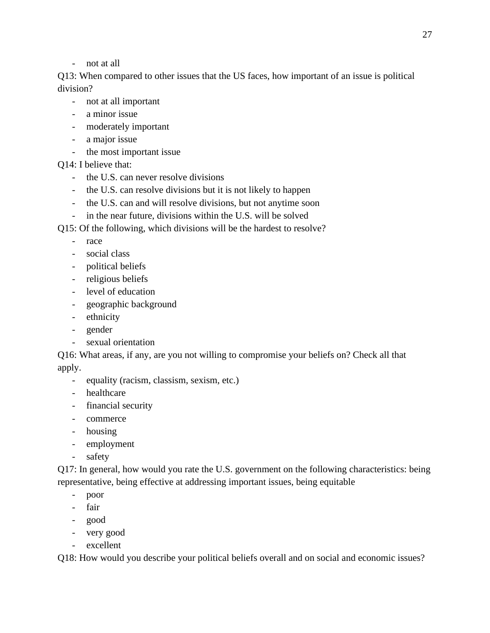- not at all

Q13: When compared to other issues that the US faces, how important of an issue is political division?

- not at all important
- a minor issue
- moderately important
- a major issue
- the most important issue

Q14: I believe that:

- the U.S. can never resolve divisions
- the U.S. can resolve divisions but it is not likely to happen
- the U.S. can and will resolve divisions, but not anytime soon
- in the near future, divisions within the U.S. will be solved
- Q15: Of the following, which divisions will be the hardest to resolve?
	- race
	- social class
	- political beliefs
	- religious beliefs
	- level of education
	- geographic background
	- ethnicity
	- gender
	- sexual orientation

Q16: What areas, if any, are you not willing to compromise your beliefs on? Check all that apply.

- equality (racism, classism, sexism, etc.)
- healthcare
- financial security
- commerce
- housing
- employment
- safety

Q17: In general, how would you rate the U.S. government on the following characteristics: being representative, being effective at addressing important issues, being equitable

- poor
- fair
- good
- very good
- excellent

Q18: How would you describe your political beliefs overall and on social and economic issues?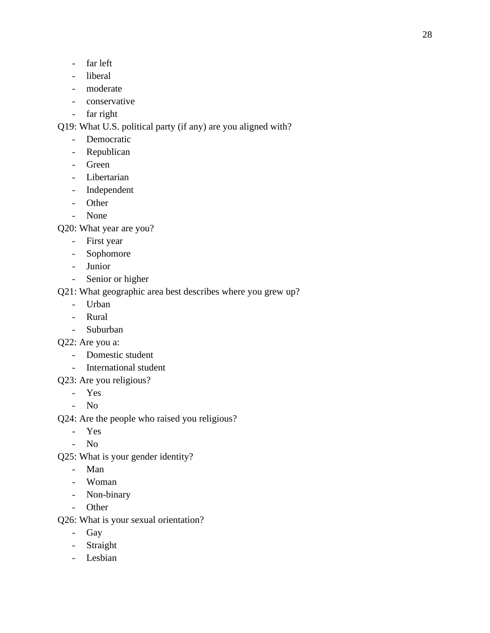- far left
- liberal
- moderate
- conservative
- far right

Q19: What U.S. political party (if any) are you aligned with?

- Democratic
- Republican
- Green
- Libertarian
- Independent
- Other
- None

Q20: What year are you?

- First year
- Sophomore
- Junior
- Senior or higher

Q21: What geographic area best describes where you grew up?

- Urban
- Rural
- Suburban

Q22: Are you a:

- Domestic student
- International student
- Q23: Are you religious?
	- Yes
	- No

Q24: Are the people who raised you religious?

- Yes
- No
- Q25: What is your gender identity?
	- Man
	- Woman
	- Non-binary
	- Other

Q26: What is your sexual orientation?

- Gay
- Straight
- Lesbian